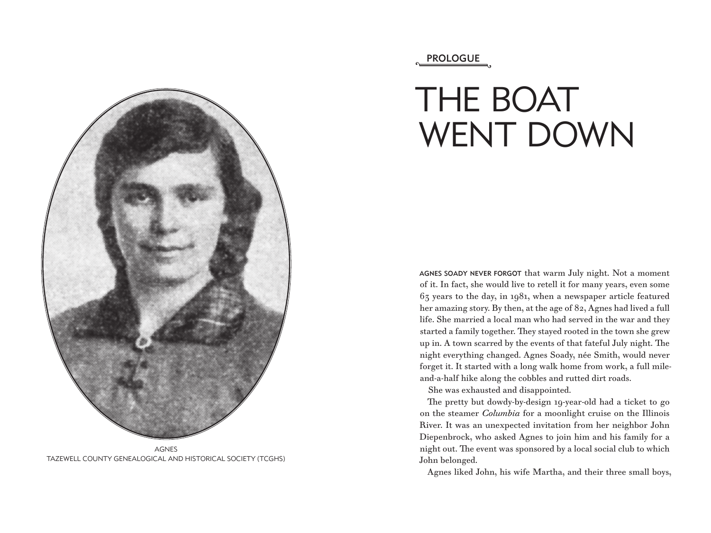## PROLOGUE

## THE BOAT WENT DOWN

Agnes Soady never forgot that warm July night. Not a moment of it. In fact, she would live to retell it for many years, even some  $65$  years to the day, in 1981, when a newspaper article featured her amazing story. By then, at the age of 82, Agnes had lived a full life. She married a local man who had served in the war and they started a family together. They stayed rooted in the town she grew up in. A town scarred by the events of that fateful July night. The night everything changed. Agnes Soady, née Smith, would never forget it. It started with a long walk home from work, a full mileand-a-half hike along the cobbles and rutted dirt roads.

She was exhausted and disappointed.

The pretty but dowdy-by-design 19-year-old had a ticket to go on the steamer *Columbia* for a moonlight cruise on the Illinois River. It was an unexpected invitation from her neighbor John Diepenbrock, who asked Agnes to join him and his family for a night out. The event was sponsored by a local social club to which John belonged.

Agnes liked John, his wife Martha, and their three small boys,

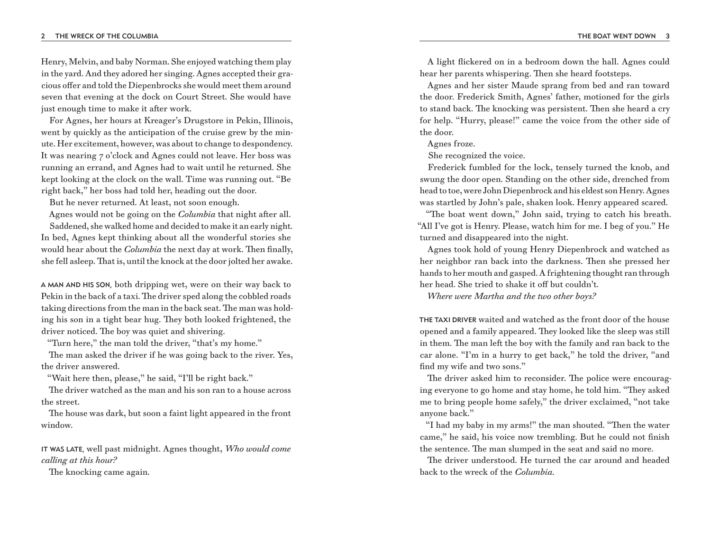Henry, Melvin, and baby Norman. She enjoyed watching them play in the yard. And they adored her singing. Agnes accepted their gracious offer and told the Diepenbrocks she would meet them around seven that evening at the dock on Court Street. She would have just enough time to make it after work.

For Agnes, her hours at Kreager's Drugstore in Pekin, Illinois, went by quickly as the anticipation of the cruise grew by the minute. Her excitement, however, was about to change to despondency. It was nearing 7 o'clock and Agnes could not leave. Her boss was running an errand, and Agnes had to wait until he returned. She kept looking at the clock on the wall. Time was running out. "Be right back," her boss had told her, heading out the door.

But he never returned. At least, not soon enough.

Agnes would not be going on the *Columbia* that night after all.

Saddened, she walked home and decided to make it an early night. In bed, Agnes kept thinking about all the wonderful stories she would hear about the *Columbia* the next day at work. Then finally, she fell asleep. That is, until the knock at the door jolted her awake.

A man and his son, both dripping wet, were on their way back to Pekin in the back of a taxi. The driver sped along the cobbled roads taking directions from the man in the back seat. The man was holding his son in a tight bear hug. They both looked frightened, the driver noticed. The boy was quiet and shivering.

"Turn here," the man told the driver, "that's my home."

The man asked the driver if he was going back to the river. Yes, the driver answered.

"Wait here then, please," he said, "I'll be right back."

The driver watched as the man and his son ran to a house across the street.

The house was dark, but soon a faint light appeared in the front window.

It was late, well past midnight. Agnes thought, *Who would come calling at this hour?* 

The knocking came again.

A light flickered on in a bedroom down the hall. Agnes could hear her parents whispering. Then she heard footsteps.

Agnes and her sister Maude sprang from bed and ran toward the door. Frederick Smith, Agnes' father, motioned for the girls to stand back. The knocking was persistent. Then she heard a cry for help. "Hurry, please!" came the voice from the other side of the door.

Agnes froze.

She recognized the voice.

Frederick fumbled for the lock, tensely turned the knob, and swung the door open. Standing on the other side, drenched from head to toe, were John Diepenbrock and his eldest son Henry. Agnes was startled by John's pale, shaken look. Henry appeared scared.

"The boat went down," John said, trying to catch his breath. "All I've got is Henry. Please, watch him for me. I beg of you." He turned and disappeared into the night.

Agnes took hold of young Henry Diepenbrock and watched as her neighbor ran back into the darkness. Then she pressed her hands to her mouth and gasped. A frightening thought ran through her head. She tried to shake it off but couldn't.

*Where were Martha and the two other boys?* 

THE TAXI DRIVER waited and watched as the front door of the house opened and a family appeared. They looked like the sleep was still in them. The man left the boy with the family and ran back to the car alone. "I'm in a hurry to get back," he told the driver, "and find my wife and two sons."

The driver asked him to reconsider. The police were encouraging everyone to go home and stay home, he told him. "They asked me to bring people home safely," the driver exclaimed, "not take anyone back."

"I had my baby in my arms!" the man shouted. "Then the water came," he said, his voice now trembling. But he could not finish the sentence. The man slumped in the seat and said no more.

The driver understood. He turned the car around and headed back to the wreck of the *Columbia.*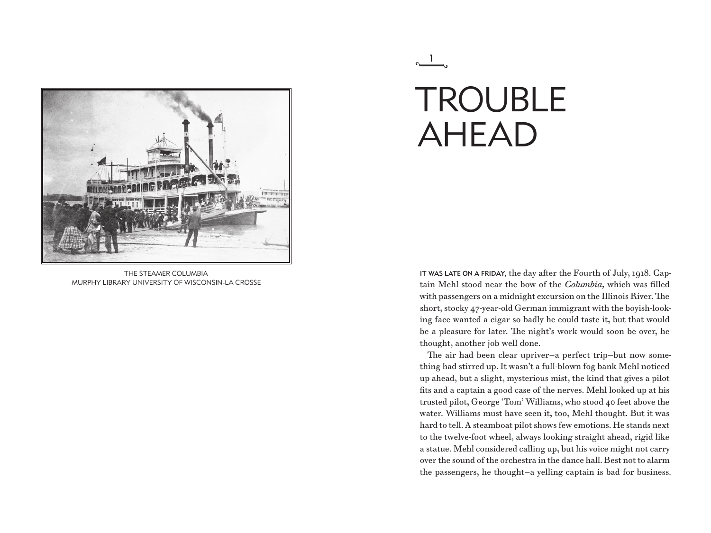

the steamer Columbia Murphy Library University of Wisconsin-La Crosse

## **TROUBLE AHEAD**  $\stackrel{1}{\longleftarrow}$ .

It was late on a Friday, the day after the Fourth of July, 1918. Captain Mehl stood near the bow of the *Columbia,* which was filled with passengers on a midnight excursion on the Illinois River. The short, stocky 47-year-old German immigrant with the boyish-looking face wanted a cigar so badly he could taste it, but that would be a pleasure for later. The night's work would soon be over, he thought, another job well done.

The air had been clear upriver—a perfect trip—but now something had stirred up. It wasn't a full-blown fog bank Mehl noticed up ahead, but a slight, mysterious mist, the kind that gives a pilot fits and a captain a good case of the nerves. Mehl looked up at his trusted pilot, George 'Tom' Williams, who stood 40 feet above the water. Williams must have seen it, too, Mehl thought. But it was hard to tell. A steamboat pilot shows few emotions. He stands next to the twelve-foot wheel, always looking straight ahead, rigid like a statue. Mehl considered calling up, but his voice might not carry over the sound of the orchestra in the dance hall. Best not to alarm the passengers, he thought—a yelling captain is bad for business.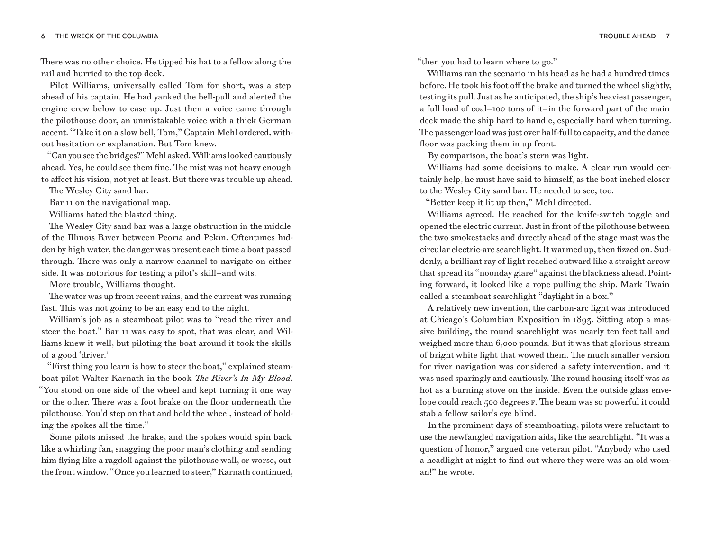There was no other choice. He tipped his hat to a fellow along the rail and hurried to the top deck.

Pilot Williams, universally called Tom for short, was a step ahead of his captain. He had yanked the bell-pull and alerted the engine crew below to ease up. Just then a voice came through the pilothouse door, an unmistakable voice with a thick German accent. "Take it on a slow bell, Tom," Captain Mehl ordered, without hesitation or explanation. But Tom knew.

"Can you see the bridges?" Mehl asked. Williams looked cautiously ahead. Yes, he could see them fine. The mist was not heavy enough to affect his vision, not yet at least. But there was trouble up ahead.

The Wesley City sand bar.

Bar 11 on the navigational map.

Williams hated the blasted thing.

The Wesley City sand bar was a large obstruction in the middle of the Illinois River between Peoria and Pekin. Oftentimes hidden by high water, the danger was present each time a boat passed through. There was only a narrow channel to navigate on either side. It was notorious for testing a pilot's skill—and wits.

More trouble, Williams thought.

The water was up from recent rains, and the current was running fast. This was not going to be an easy end to the night.

William's job as a steamboat pilot was to "read the river and steer the boat." Bar 11 was easy to spot, that was clear, and Williams knew it well, but piloting the boat around it took the skills of a good 'driver.'

"First thing you learn is how to steer the boat," explained steamboat pilot Walter Karnath in the book *The River's In My Blood*. "You stood on one side of the wheel and kept turning it one way or the other. There was a foot brake on the floor underneath the pilothouse. You'd step on that and hold the wheel, instead of holding the spokes all the time."

Some pilots missed the brake, and the spokes would spin back like a whirling fan, snagging the poor man's clothing and sending him flying like a ragdoll against the pilothouse wall, or worse, out the front window. "Once you learned to steer," Karnath continued, "then you had to learn where to go."

Williams ran the scenario in his head as he had a hundred times before. He took his foot off the brake and turned the wheel slightly, testing its pull. Just as he anticipated, the ship's heaviest passenger, a full load of coal—100 tons of it—in the forward part of the main deck made the ship hard to handle, especially hard when turning. The passenger load was just over half-full to capacity, and the dance floor was packing them in up front.

By comparison, the boat's stern was light.

Williams had some decisions to make. A clear run would certainly help, he must have said to himself, as the boat inched closer to the Wesley City sand bar. He needed to see, too.

"Better keep it lit up then," Mehl directed.

Williams agreed. He reached for the knife-switch toggle and opened the electric current. Just in front of the pilothouse between the two smokestacks and directly ahead of the stage mast was the circular electric-arc searchlight. It warmed up, then fizzed on. Suddenly, a brilliant ray of light reached outward like a straight arrow that spread its "noonday glare" against the blackness ahead. Pointing forward, it looked like a rope pulling the ship. Mark Twain called a steamboat searchlight "daylight in a box."

A relatively new invention, the carbon-arc light was introduced at Chicago's Columbian Exposition in 1893. Sitting atop a massive building, the round searchlight was nearly ten feet tall and weighed more than 6,000 pounds. But it was that glorious stream of bright white light that wowed them. The much smaller version for river navigation was considered a safety intervention, and it was used sparingly and cautiously. The round housing itself was as hot as a burning stove on the inside. Even the outside glass envelope could reach 500 degrees f. The beam was so powerful it could stab a fellow sailor's eye blind.

In the prominent days of steamboating, pilots were reluctant to use the newfangled navigation aids, like the searchlight. "It was a question of honor," argued one veteran pilot. "Anybody who used a headlight at night to find out where they were was an old woman!" he wrote.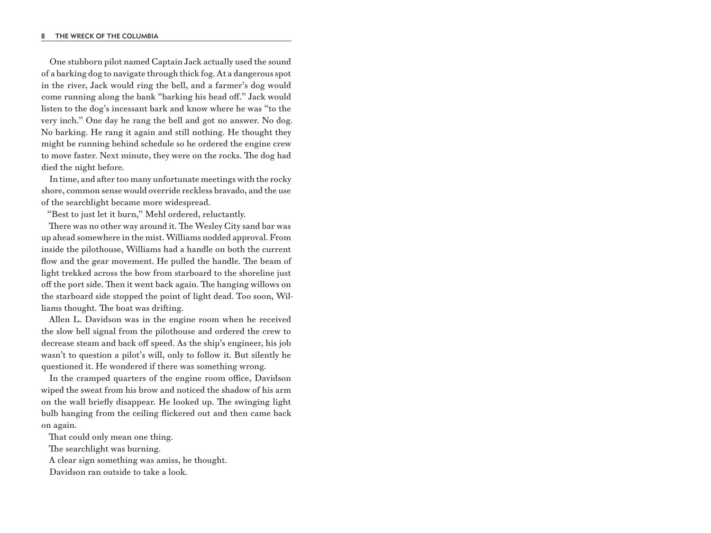One stubborn pilot named Captain Jack actually used the sound of a barking dog to navigate through thick fog. At a dangerous spot in the river, Jack would ring the bell, and a farmer's dog would come running along the bank "barking his head off." Jack would listen to the dog's incessant bark and know where he was "to the very inch." One day he rang the bell and got no answer. No dog. No barking. He rang it again and still nothing. He thought they might be running behind schedule so he ordered the engine crew to move faster. Next minute, they were on the rocks. The dog had died the night before.

In time, and after too many unfortunate meetings with the rocky shore, common sense would override reckless bravado, and the use of the searchlight became more widespread.

"Best to just let it burn," Mehl ordered, reluctantly.

There was no other way around it. The Wesley City sand bar was up ahead somewhere in the mist. Williams nodded approval. From inside the pilothouse, Williams had a handle on both the current flow and the gear movement. He pulled the handle. The beam of light trekked across the bow from starboard to the shoreline just off the port side. Then it went back again. The hanging willows on the starboard side stopped the point of light dead. Too soon, Williams thought. The boat was drifting.

Allen L. Davidson was in the engine room when he received the slow bell signal from the pilothouse and ordered the crew to decrease steam and back off speed. As the ship's engineer, his job wasn't to question a pilot's will, only to follow it. But silently he questioned it. He wondered if there was something wrong.

In the cramped quarters of the engine room office, Davidson wiped the sweat from his brow and noticed the shadow of his arm on the wall briefly disappear. He looked up. The swinging light bulb hanging from the ceiling flickered out and then came back on again.

That could only mean one thing.

The searchlight was burning.

A clear sign something was amiss, he thought.

Davidson ran outside to take a look.